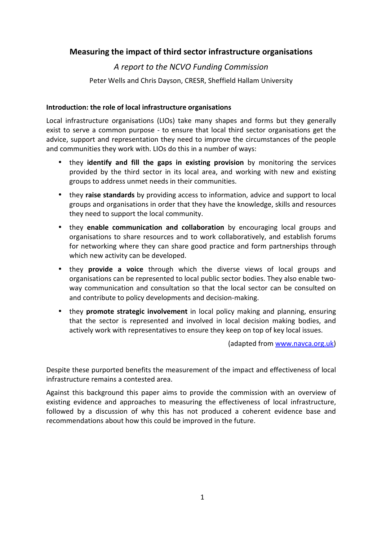# Measuring the impact of third sector infrastructure organisations

# A report to the NCVO Funding Commission

Peter Wells and Chris Dayson, CRESR, Sheffield Hallam University

## Introduction: the role of local infrastructure organisations

Local infrastructure organisations (LIOs) take many shapes and forms but they generally exist to serve a common purpose - to ensure that local third sector organisations get the advice, support and representation they need to improve the circumstances of the people and communities they work with. LIOs do this in a number of ways:

- they identify and fill the gaps in existing provision by monitoring the services provided by the third sector in its local area, and working with new and existing groups to address unmet needs in their communities.
- they raise standards by providing access to information, advice and support to local groups and organisations in order that they have the knowledge, skills and resources they need to support the local community.
- they enable communication and collaboration by encouraging local groups and organisations to share resources and to work collaboratively, and establish forums for networking where they can share good practice and form partnerships through which new activity can be developed.
- they **provide a voice** through which the diverse views of local groups and organisations can be represented to local public sector bodies. They also enable twoway communication and consultation so that the local sector can be consulted on and contribute to policy developments and decision-making.
- they promote strategic involvement in local policy making and planning, ensuring that the sector is represented and involved in local decision making bodies, and actively work with representatives to ensure they keep on top of key local issues.

(adapted from www.navca.org.uk)

Despite these purported benefits the measurement of the impact and effectiveness of local infrastructure remains a contested area.

Against this background this paper aims to provide the commission with an overview of existing evidence and approaches to measuring the effectiveness of local infrastructure, followed by a discussion of why this has not produced a coherent evidence base and recommendations about how this could be improved in the future.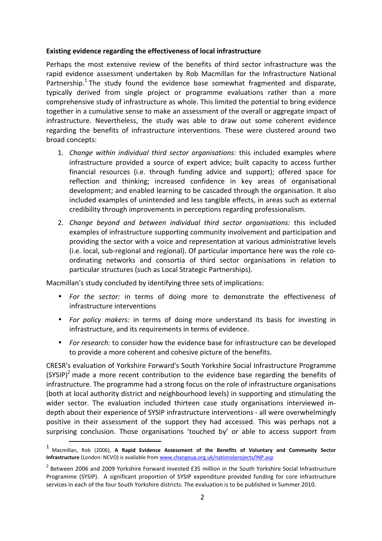#### Existing evidence regarding the effectiveness of local infrastructure

Perhaps the most extensive review of the benefits of third sector infrastructure was the rapid evidence assessment undertaken by Rob Macmillan for the Infrastructure National Partnership.<sup>1</sup> The study found the evidence base somewhat fragmented and disparate, typically derived from single project or programme evaluations rather than a more comprehensive study of infrastructure as whole. This limited the potential to bring evidence together in a cumulative sense to make an assessment of the overall or aggregate impact of infrastructure. Nevertheless, the study was able to draw out some coherent evidence regarding the benefits of infrastructure interventions. These were clustered around two broad concepts:

- 1. Change within individual third sector organisations: this included examples where infrastructure provided a source of expert advice; built capacity to access further financial resources (i.e. through funding advice and support); offered space for reflection and thinking; increased confidence in key areas of organisational development; and enabled learning to be cascaded through the organisation. It also included examples of unintended and less tangible effects, in areas such as external credibility through improvements in perceptions regarding professionalism.
- 2. Change beyond and between individual third sector organisations: this included examples of infrastructure supporting community involvement and participation and providing the sector with a voice and representation at various administrative levels (i.e. local, sub-regional and regional). Of particular importance here was the role coordinating networks and consortia of third sector organisations in relation to particular structures (such as Local Strategic Partnerships).

Macmillan's study concluded by identifying three sets of implications:

l

- For the sector: in terms of doing more to demonstrate the effectiveness of infrastructure interventions
- For policy makers: in terms of doing more understand its basis for investing in infrastructure, and its requirements in terms of evidence.
- For research: to consider how the evidence base for infrastructure can be developed to provide a more coherent and cohesive picture of the benefits.

CRESR's evaluation of Yorkshire Forward's South Yorkshire Social Infrastructure Programme (SYSIP)<sup>2</sup> made a more recent contribution to the evidence base regarding the benefits of infrastructure. The programme had a strong focus on the role of infrastructure organisations (both at local authority district and neighbourhood levels) in supporting and stimulating the wider sector. The evaluation included thirteen case study organisations interviewed indepth about their experience of SYSIP infrastructure interventions - all were overwhelmingly positive in their assessment of the support they had accessed. This was perhaps not a surprising conclusion. Those organisations 'touched by' or able to access support from

<sup>&</sup>lt;sup>1</sup> Macmillan, Rob (2006), A Rapid Evidence Assessment of the Benefits of Voluntary and Community Sector Infrastructure (London: NCVO) is available from www.changeup.org.uk/nationalprojects/INP.asp

 $^2$  Between 2006 and 2009 Yorkshire Forward invested £35 million in the South Yorkshire Social Infrastructure Programme (SYSIP). A significant proportion of SYSIP expenditure provided funding for core infrastructure services in each of the four South Yorkshire districts. The evaluation is to be published in Summer 2010.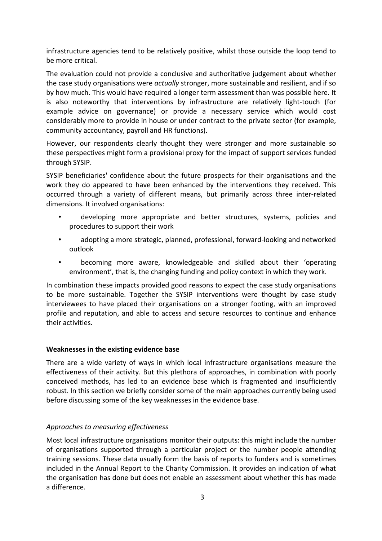infrastructure agencies tend to be relatively positive, whilst those outside the loop tend to be more critical.

The evaluation could not provide a conclusive and authoritative judgement about whether the case study organisations were *actually* stronger, more sustainable and resilient, and if so by how much. This would have required a longer term assessment than was possible here. It is also noteworthy that interventions by infrastructure are relatively light-touch (for example advice on governance) or provide a necessary service which would cost considerably more to provide in house or under contract to the private sector (for example, community accountancy, payroll and HR functions).

However, our respondents clearly thought they were stronger and more sustainable so these perspectives might form a provisional proxy for the impact of support services funded through SYSIP.

SYSIP beneficiaries' confidence about the future prospects for their organisations and the work they do appeared to have been enhanced by the interventions they received. This occurred through a variety of different means, but primarily across three inter-related dimensions. It involved organisations:

- developing more appropriate and better structures, systems, policies and procedures to support their work
- adopting a more strategic, planned, professional, forward-looking and networked outlook
- becoming more aware, knowledgeable and skilled about their 'operating environment', that is, the changing funding and policy context in which they work.

In combination these impacts provided good reasons to expect the case study organisations to be more sustainable. Together the SYSIP interventions were thought by case study interviewees to have placed their organisations on a stronger footing, with an improved profile and reputation, and able to access and secure resources to continue and enhance their activities.

# Weaknesses in the existing evidence base

There are a wide variety of ways in which local infrastructure organisations measure the effectiveness of their activity. But this plethora of approaches, in combination with poorly conceived methods, has led to an evidence base which is fragmented and insufficiently robust. In this section we briefly consider some of the main approaches currently being used before discussing some of the key weaknesses in the evidence base.

# Approaches to measuring effectiveness

Most local infrastructure organisations monitor their outputs: this might include the number of organisations supported through a particular project or the number people attending training sessions. These data usually form the basis of reports to funders and is sometimes included in the Annual Report to the Charity Commission. It provides an indication of what the organisation has done but does not enable an assessment about whether this has made a difference.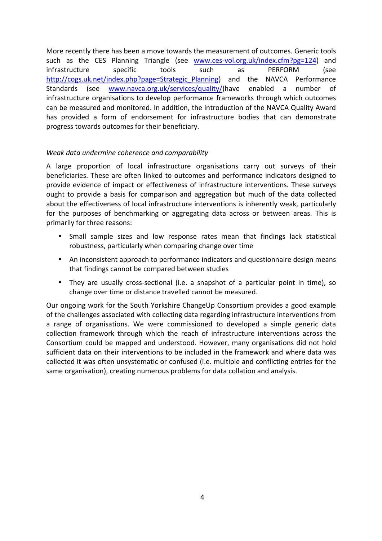More recently there has been a move towards the measurement of outcomes. Generic tools such as the CES Planning Triangle (see www.ces-vol.org.uk/index.cfm?pg=124) and infrastructure specific tools such as PERFORM (see http://cogs.uk.net/index.php?page=Strategic\_Planning) and the NAVCA Performance Standards (see www.navca.org.uk/services/quality/)have enabled a number of infrastructure organisations to develop performance frameworks through which outcomes can be measured and monitored. In addition, the introduction of the NAVCA Quality Award has provided a form of endorsement for infrastructure bodies that can demonstrate progress towards outcomes for their beneficiary.

### Weak data undermine coherence and comparability

A large proportion of local infrastructure organisations carry out surveys of their beneficiaries. These are often linked to outcomes and performance indicators designed to provide evidence of impact or effectiveness of infrastructure interventions. These surveys ought to provide a basis for comparison and aggregation but much of the data collected about the effectiveness of local infrastructure interventions is inherently weak, particularly for the purposes of benchmarking or aggregating data across or between areas. This is primarily for three reasons:

- Small sample sizes and low response rates mean that findings lack statistical robustness, particularly when comparing change over time
- An inconsistent approach to performance indicators and questionnaire design means that findings cannot be compared between studies
- They are usually cross-sectional (i.e. a snapshot of a particular point in time), so change over time or distance travelled cannot be measured.

Our ongoing work for the South Yorkshire ChangeUp Consortium provides a good example of the challenges associated with collecting data regarding infrastructure interventions from a range of organisations. We were commissioned to developed a simple generic data collection framework through which the reach of infrastructure interventions across the Consortium could be mapped and understood. However, many organisations did not hold sufficient data on their interventions to be included in the framework and where data was collected it was often unsystematic or confused (i.e. multiple and conflicting entries for the same organisation), creating numerous problems for data collation and analysis.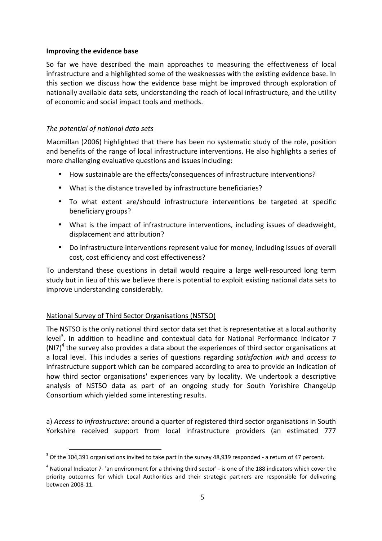#### Improving the evidence base

So far we have described the main approaches to measuring the effectiveness of local infrastructure and a highlighted some of the weaknesses with the existing evidence base. In this section we discuss how the evidence base might be improved through exploration of nationally available data sets, understanding the reach of local infrastructure, and the utility of economic and social impact tools and methods.

# The potential of national data sets

Macmillan (2006) highlighted that there has been no systematic study of the role, position and benefits of the range of local infrastructure interventions. He also highlights a series of more challenging evaluative questions and issues including:

- How sustainable are the effects/consequences of infrastructure interventions?
- What is the distance travelled by infrastructure beneficiaries?
- To what extent are/should infrastructure interventions be targeted at specific beneficiary groups?
- What is the impact of infrastructure interventions, including issues of deadweight, displacement and attribution?
- Do infrastructure interventions represent value for money, including issues of overall cost, cost efficiency and cost effectiveness?

To understand these questions in detail would require a large well-resourced long term study but in lieu of this we believe there is potential to exploit existing national data sets to improve understanding considerably.

# National Survey of Third Sector Organisations (NSTSO)

l

The NSTSO is the only national third sector data set that is representative at a local authority level<sup>3</sup>. In addition to headline and contextual data for National Performance Indicator 7 (NI7)<sup>4</sup> the survey also provides a data about the experiences of third sector organisations at a local level. This includes a series of questions regarding satisfaction with and access to infrastructure support which can be compared according to area to provide an indication of how third sector organisations' experiences vary by locality. We undertook a descriptive analysis of NSTSO data as part of an ongoing study for South Yorkshire ChangeUp Consortium which yielded some interesting results.

a) Access to infrastructure: around a quarter of registered third sector organisations in South Yorkshire received support from local infrastructure providers (an estimated 777

 $3$  Of the 104,391 organisations invited to take part in the survey 48,939 responded - a return of 47 percent.

<sup>&</sup>lt;sup>4</sup> National Indicator 7- 'an environment for a thriving third sector' - is one of the 188 indicators which cover the priority outcomes for which Local Authorities and their strategic partners are responsible for delivering between 2008-11.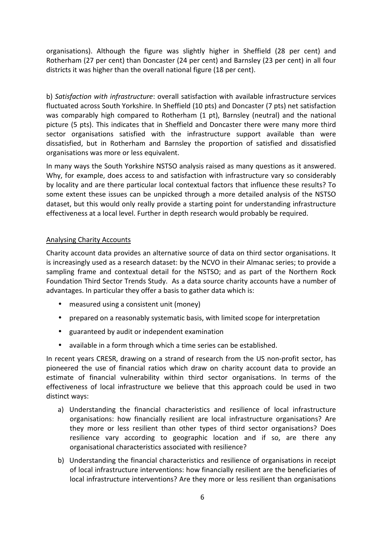organisations). Although the figure was slightly higher in Sheffield (28 per cent) and Rotherham (27 per cent) than Doncaster (24 per cent) and Barnsley (23 per cent) in all four districts it was higher than the overall national figure (18 per cent).

b) Satisfaction with infrastructure: overall satisfaction with available infrastructure services fluctuated across South Yorkshire. In Sheffield (10 pts) and Doncaster (7 pts) net satisfaction was comparably high compared to Rotherham (1 pt), Barnsley (neutral) and the national picture (5 pts). This indicates that in Sheffield and Doncaster there were many more third sector organisations satisfied with the infrastructure support available than were dissatisfied, but in Rotherham and Barnsley the proportion of satisfied and dissatisfied organisations was more or less equivalent.

In many ways the South Yorkshire NSTSO analysis raised as many questions as it answered. Why, for example, does access to and satisfaction with infrastructure vary so considerably by locality and are there particular local contextual factors that influence these results? To some extent these issues can be unpicked through a more detailed analysis of the NSTSO dataset, but this would only really provide a starting point for understanding infrastructure effectiveness at a local level. Further in depth research would probably be required.

### Analysing Charity Accounts

Charity account data provides an alternative source of data on third sector organisations. It is increasingly used as a research dataset: by the NCVO in their Almanac series; to provide a sampling frame and contextual detail for the NSTSO; and as part of the Northern Rock Foundation Third Sector Trends Study. As a data source charity accounts have a number of advantages. In particular they offer a basis to gather data which is:

- measured using a consistent unit (money)
- prepared on a reasonably systematic basis, with limited scope for interpretation
- guaranteed by audit or independent examination
- available in a form through which a time series can be established.

In recent years CRESR, drawing on a strand of research from the US non-profit sector, has pioneered the use of financial ratios which draw on charity account data to provide an estimate of financial vulnerability within third sector organisations. In terms of the effectiveness of local infrastructure we believe that this approach could be used in two distinct ways:

- a) Understanding the financial characteristics and resilience of local infrastructure organisations: how financially resilient are local infrastructure organisations? Are they more or less resilient than other types of third sector organisations? Does resilience vary according to geographic location and if so, are there any organisational characteristics associated with resilience?
- b) Understanding the financial characteristics and resilience of organisations in receipt of local infrastructure interventions: how financially resilient are the beneficiaries of local infrastructure interventions? Are they more or less resilient than organisations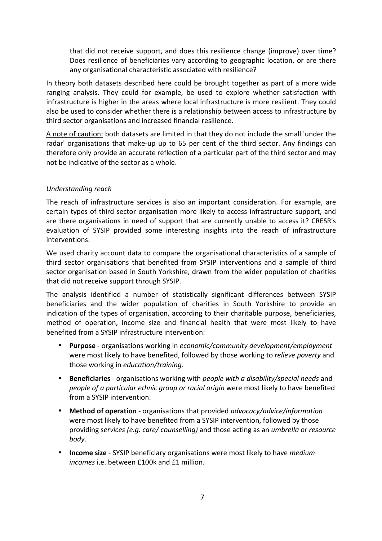that did not receive support, and does this resilience change (improve) over time? Does resilience of beneficiaries vary according to geographic location, or are there any organisational characteristic associated with resilience?

In theory both datasets described here could be brought together as part of a more wide ranging analysis. They could for example, be used to explore whether satisfaction with infrastructure is higher in the areas where local infrastructure is more resilient. They could also be used to consider whether there is a relationship between access to infrastructure by third sector organisations and increased financial resilience.

A note of caution: both datasets are limited in that they do not include the small 'under the radar' organisations that make-up up to 65 per cent of the third sector. Any findings can therefore only provide an accurate reflection of a particular part of the third sector and may not be indicative of the sector as a whole.

#### Understanding reach

The reach of infrastructure services is also an important consideration. For example, are certain types of third sector organisation more likely to access infrastructure support, and are there organisations in need of support that are currently unable to access it? CRESR's evaluation of SYSIP provided some interesting insights into the reach of infrastructure interventions.

We used charity account data to compare the organisational characteristics of a sample of third sector organisations that benefited from SYSIP interventions and a sample of third sector organisation based in South Yorkshire, drawn from the wider population of charities that did not receive support through SYSIP.

The analysis identified a number of statistically significant differences between SYSIP beneficiaries and the wider population of charities in South Yorkshire to provide an indication of the types of organisation, according to their charitable purpose, beneficiaries, method of operation, income size and financial health that were most likely to have benefited from a SYSIP infrastructure intervention:

- Purpose organisations working in economic/community development/employment were most likely to have benefited, followed by those working to *relieve poverty* and those working in education/training.
- Beneficiaries organisations working with *people with a disability/special needs* and people of a particular ethnic group or racial origin were most likely to have benefited from a SYSIP intervention.
- Method of operation organisations that provided *advocacy/advice/information* were most likely to have benefited from a SYSIP intervention, followed by those providing services (e.g. care/ counselling) and those acting as an umbrella or resource body.
- Income size SYSIP beneficiary organisations were most likely to have medium incomes i.e. between £100k and £1 million.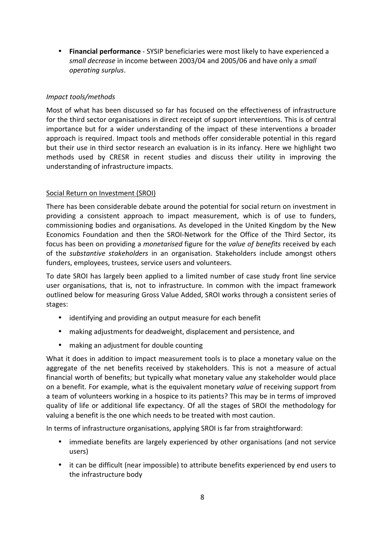• Financial performance - SYSIP beneficiaries were most likely to have experienced a small decrease in income between 2003/04 and 2005/06 and have only a small operating surplus.

## Impact tools/methods

Most of what has been discussed so far has focused on the effectiveness of infrastructure for the third sector organisations in direct receipt of support interventions. This is of central importance but for a wider understanding of the impact of these interventions a broader approach is required. Impact tools and methods offer considerable potential in this regard but their use in third sector research an evaluation is in its infancy. Here we highlight two methods used by CRESR in recent studies and discuss their utility in improving the understanding of infrastructure impacts.

### Social Return on Investment (SROI)

There has been considerable debate around the potential for social return on investment in providing a consistent approach to impact measurement, which is of use to funders, commissioning bodies and organisations. As developed in the United Kingdom by the New Economics Foundation and then the SROI-Network for the Office of the Third Sector, its focus has been on providing a monetarised figure for the value of benefits received by each of the substantive stakeholders in an organisation. Stakeholders include amongst others funders, employees, trustees, service users and volunteers.

To date SROI has largely been applied to a limited number of case study front line service user organisations, that is, not to infrastructure. In common with the impact framework outlined below for measuring Gross Value Added, SROI works through a consistent series of stages:

- identifying and providing an output measure for each benefit
- making adjustments for deadweight, displacement and persistence, and
- making an adjustment for double counting

What it does in addition to impact measurement tools is to place a monetary value on the aggregate of the net benefits received by stakeholders. This is not a measure of actual financial worth of benefits; but typically what monetary value any stakeholder would place on a benefit. For example, what is the equivalent monetary value of receiving support from a team of volunteers working in a hospice to its patients? This may be in terms of improved quality of life or additional life expectancy. Of all the stages of SROI the methodology for valuing a benefit is the one which needs to be treated with most caution.

In terms of infrastructure organisations, applying SROI is far from straightforward:

- immediate benefits are largely experienced by other organisations (and not service users)
- it can be difficult (near impossible) to attribute benefits experienced by end users to the infrastructure body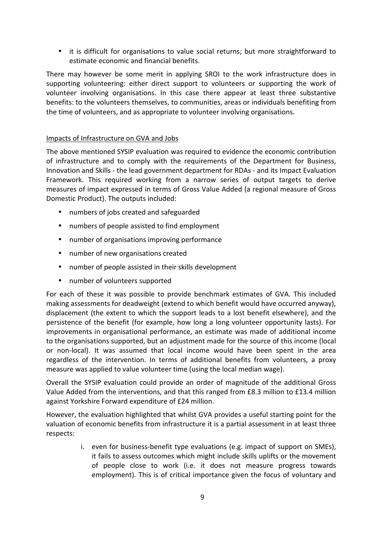• it is difficult for organisations to value social returns; but more straightforward to estimate economic and financial benefits.

There may however be some merit in applying SROI to the work infrastructure does in supporting volunteering: either direct support to volunteers or supporting the work of volunteer involving organisations. In this case there appear at least three substantive benefits: to the volunteers themselves, to communities, areas or individuals benefiting from the time of volunteers, and as appropriate to volunteer involving organisations.

## Impacts of Infrastructure on GVA and Jobs

The above mentioned SYSIP evaluation was required to evidence the economic contribution of infrastructure and to comply with the requirements of the Department for Business, Innovation and Skills - the lead government department for RDAs - and its Impact Evaluation Framework. This required working from a narrow series of output targets to derive measures of impact expressed in terms of Gross Value Added (a regional measure of Gross Domestic Product). The outputs included:

- numbers of jobs created and safeguarded
- numbers of people assisted to find employment
- number of organisations improving performance
- number of new organisations created
- number of people assisted in their skills development
- number of volunteers supported

For each of these it was possible to provide benchmark estimates of GVA. This included making assessments for deadweight (extend to which benefit would have occurred anyway), displacement (the extent to which the support leads to a lost benefit elsewhere), and the persistence of the benefit (for example, how long a long volunteer opportunity lasts). For improvements in organisational performance, an estimate was made of additional income to the organisations supported, but an adjustment made for the source of this income (local or non-local). It was assumed that local income would have been spent in the area regardless of the intervention. In terms of additional benefits from volunteers, a proxy measure was applied to value volunteer time (using the local median wage).

Overall the SYSIP evaluation could provide an order of magnitude of the additional Gross Value Added from the interventions, and that this ranged from £8.3 million to £13.4 million against Yorkshire Forward expenditure of £24 million.

However, the evaluation highlighted that whilst GVA provides a useful starting point for the valuation of economic benefits from infrastructure it is a partial assessment in at least three respects:

> i. even for business-benefit type evaluations (e.g. impact of support on SMEs), it fails to assess outcomes which might include skills uplifts or the movement of people close to work (i.e. it does not measure progress towards employment). This is of critical importance given the focus of voluntary and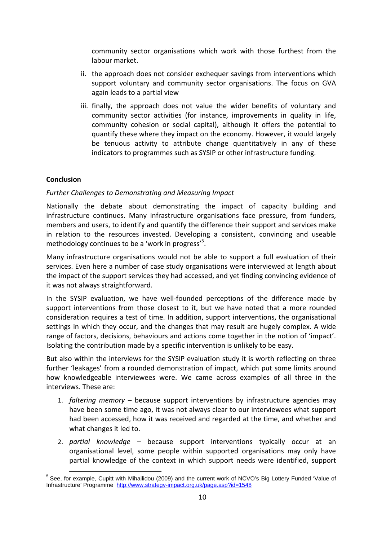community sector organisations which work with those furthest from the labour market.

- ii. the approach does not consider exchequer savings from interventions which support voluntary and community sector organisations. The focus on GVA again leads to a partial view
- iii. finally, the approach does not value the wider benefits of voluntary and community sector activities (for instance, improvements in quality in life, community cohesion or social capital), although it offers the potential to quantify these where they impact on the economy. However, it would largely be tenuous activity to attribute change quantitatively in any of these indicators to programmes such as SYSIP or other infrastructure funding.

# **Conclusion**

# Further Challenges to Demonstrating and Measuring Impact

Nationally the debate about demonstrating the impact of capacity building and infrastructure continues. Many infrastructure organisations face pressure, from funders, members and users, to identify and quantify the difference their support and services make in relation to the resources invested. Developing a consistent, convincing and useable methodology continues to be a 'work in progress'<sup>5</sup>.

Many infrastructure organisations would not be able to support a full evaluation of their services. Even here a number of case study organisations were interviewed at length about the impact of the support services they had accessed, and yet finding convincing evidence of it was not always straightforward.

In the SYSIP evaluation, we have well-founded perceptions of the difference made by support interventions from those closest to it, but we have noted that a more rounded consideration requires a test of time. In addition, support interventions, the organisational settings in which they occur, and the changes that may result are hugely complex. A wide range of factors, decisions, behaviours and actions come together in the notion of 'impact'. Isolating the contribution made by a specific intervention is unlikely to be easy.

But also within the interviews for the SYSIP evaluation study it is worth reflecting on three further 'leakages' from a rounded demonstration of impact, which put some limits around how knowledgeable interviewees were. We came across examples of all three in the interviews. These are:

- 1. *faltering memory*  $-$  because support interventions by infrastructure agencies may have been some time ago, it was not always clear to our interviewees what support had been accessed, how it was received and regarded at the time, and whether and what changes it led to.
- 2. partial knowledge because support interventions typically occur at an organisational level, some people within supported organisations may only have partial knowledge of the context in which support needs were identified, support

l <sup>5</sup> See, for example, Cupitt with Mihailidou (2009) and the current work of NCVO's Big Lottery Funded 'Value of Infrastructure' Programme http://www.strategy-impact.org.uk/page.asp?id=1548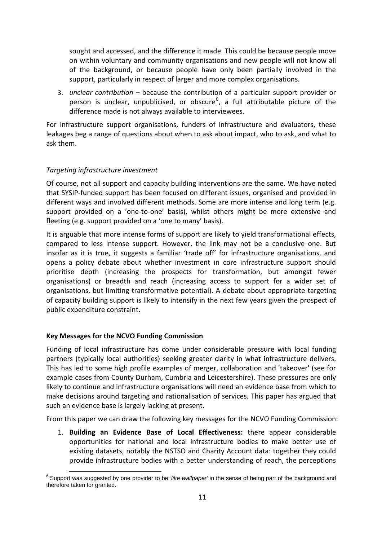sought and accessed, and the difference it made. This could be because people move on within voluntary and community organisations and new people will not know all of the background, or because people have only been partially involved in the support, particularly in respect of larger and more complex organisations.

3. unclear contribution – because the contribution of a particular support provider or person is unclear, unpublicised, or obscure<sup>6</sup>, a full attributable picture of the difference made is not always available to interviewees.

For infrastructure support organisations, funders of infrastructure and evaluators, these leakages beg a range of questions about when to ask about impact, who to ask, and what to ask them.

# Targeting infrastructure investment

Of course, not all support and capacity building interventions are the same. We have noted that SYSIP-funded support has been focused on different issues, organised and provided in different ways and involved different methods. Some are more intense and long term (e.g. support provided on a 'one-to-one' basis), whilst others might be more extensive and fleeting (e.g. support provided on a 'one to many' basis).

It is arguable that more intense forms of support are likely to yield transformational effects, compared to less intense support. However, the link may not be a conclusive one. But insofar as it is true, it suggests a familiar 'trade off' for infrastructure organisations, and opens a policy debate about whether investment in core infrastructure support should prioritise depth (increasing the prospects for transformation, but amongst fewer organisations) or breadth and reach (increasing access to support for a wider set of organisations, but limiting transformative potential). A debate about appropriate targeting of capacity building support is likely to intensify in the next few years given the prospect of public expenditure constraint.

# Key Messages for the NCVO Funding Commission

Funding of local infrastructure has come under considerable pressure with local funding partners (typically local authorities) seeking greater clarity in what infrastructure delivers. This has led to some high profile examples of merger, collaboration and 'takeover' (see for example cases from County Durham, Cumbria and Leicestershire). These pressures are only likely to continue and infrastructure organisations will need an evidence base from which to make decisions around targeting and rationalisation of services. This paper has argued that such an evidence base is largely lacking at present.

From this paper we can draw the following key messages for the NCVO Funding Commission:

1. Building an Evidence Base of Local Effectiveness: there appear considerable opportunities for national and local infrastructure bodies to make better use of existing datasets, notably the NSTSO and Charity Account data: together they could provide infrastructure bodies with a better understanding of reach, the perceptions

l  $^6$  Support was suggested by one provider to be *'like wallpaper'* in the sense of being part of the background and therefore taken for granted.